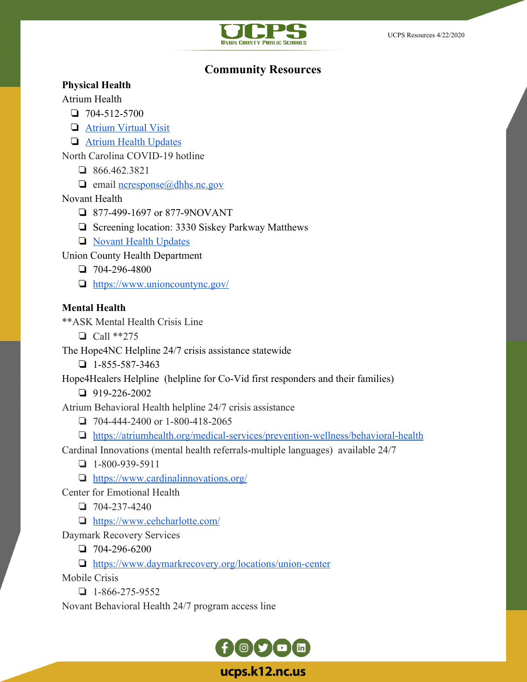

# **Community Resources**

#### **Physical Health**

Atrium Health

- ❏ 704-512-5700
- ❏ [Atrium Virtual Visit](https://atriumhealth.org/campaigns/primarycare/virtualvisit/virtualvisit)
- ❏ [Atrium Health Updates](https://atriumhealth.org/dailydose/2020/02/28/coronavirus-disease-updates#resources)

North Carolina COVID-19 hotline

- ❏ 866.462.3821
- $\Box$  email <u>ncresponse</u> $\omega$ dhhs.nc.gov

### Novant Health

- ❏ 877-499-1697 or 877-9NOVANT
- ❏ Screening location: 3330 Siskey Parkway Matthews
- ❏ [Novant Health Updates](https://www.novanthealth.org/home/about-us/newsroom/coronavirus.aspx)

Union County Health Department

- ❏ 704-296-4800
- ❏ <https://www.unioncountync.gov/>

## **Mental Health**

\*\*ASK Mental Health Crisis Line

❏ Call \*\*275

The Hope4NC Helpline 24/7 crisis assistance statewide

 $\Box$  1-855-587-3463

Hope4Healers Helpline (helpline for Co-Vid first responders and their families)

❏ 919-226-2002

Atrium Behavioral Health helpline 24/7 crisis assistance

- ❏ 704-444-2400 or 1-800-418-2065
- ❏ <https://atriumhealth.org/medical-services/prevention-wellness/behavioral-health>
- Cardinal Innovations (mental health referrals-multiple languages) available 24/7
	- ❏ 1-800-939-5911
	- ❏ <https://www.cardinalinnovations.org/>
- Center for Emotional Health
	- ❏ 704-237-4240
	- ❏ <https://www.cehcharlotte.com/>

Daymark Recovery Services

❏ 704-296-6200

❏ <https://www.daymarkrecovery.org/locations/union-center>

Mobile Crisis

 $\n **1-866-275-9552**\n$ 

Novant Behavioral Health 24/7 program access line



ucps.k12.nc.us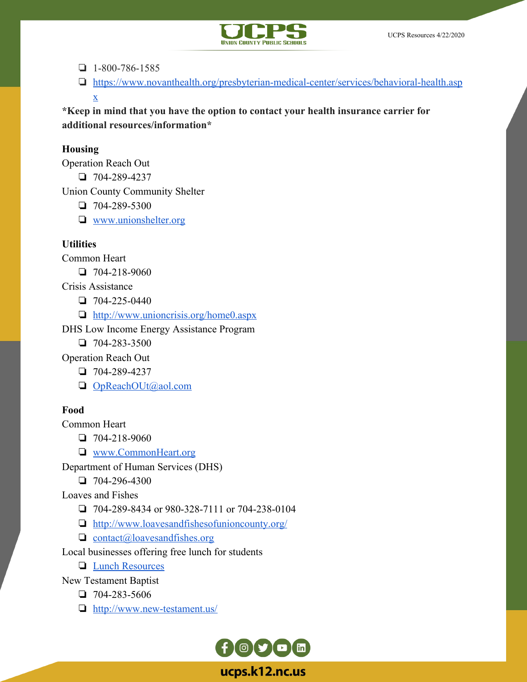

❏ 1-800-786-1585

❏ [https://www.novanthealth.org/presbyterian-medical-center/services/behavioral-health.asp](https://www.novanthealth.org/presbyterian-medical-center/services/behavioral-health.aspx) [x](https://www.novanthealth.org/presbyterian-medical-center/services/behavioral-health.aspx)

**\*Keep in mind that you have the option to contact your health insurance carrier for additional resources/information\***

#### **Housing**

Operation Reach Out

❏ 704-289-4237

Union County Community Shelter

❏ 704-289-5300

❏ [www.unionshelter.org](http://www.unionshelter.org/)

#### **Utilities**

Common Heart

❏ 704-218-9060

Crisis Assistance

❏ 704-225-0440

❏ <http://www.unioncrisis.org/home0.aspx>

DHS Low Income Energy Assistance Program

 $\Box$  704-283-3500

Operation Reach Out

❏ 704-289-4237

❏ [OpReachOUt@aol.com](mailto:OpReachOUt@aol.com)

### **Food**

Common Heart

❏ 704-218-9060

❏ [www.CommonHeart.org](http://www.commonheart.org/)

Department of Human Services (DHS)

❏ 704-296-4300

Loaves and Fishes

❏ 704-289-8434 or 980-328-7111 or 704-238-0104

❏ <http://www.loavesandfishesofunioncounty.org/>

❏ [contact@loavesandfishes.org](mailto:contact@loavesandfishes.org)

Local businesses offering free lunch for students

❏ [Lunch Resources](https://docs.google.com/document/d/1xGcrdYoSkdcG1nuzpkId6_uSbXx3wRBaa7SrAHTiEkw/edit?usp=sharing)

New Testament Baptist

❏ 704-283-5606

❏ <http://www.new-testament.us/>

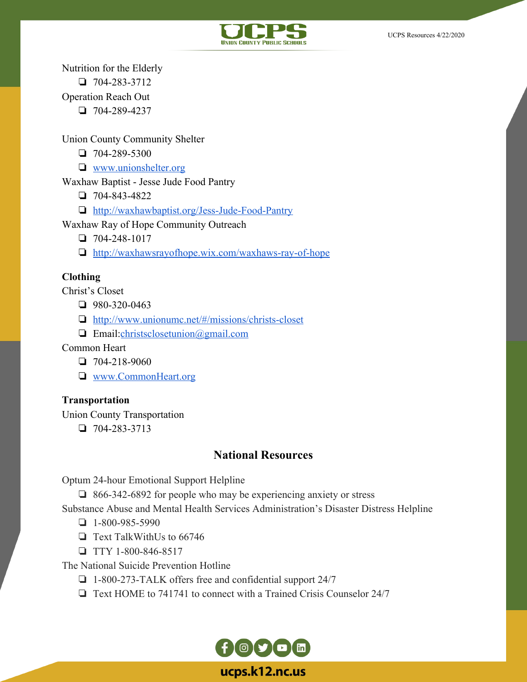



Nutrition for the Elderly

❏ 704-283-3712

Operation Reach Out

❏ 704-289-4237

Union County Community Shelter

❏ 704-289-5300

❏ [www.unionshelter.org](http://www.unionshelter.org/)

Waxhaw Baptist - Jesse Jude Food Pantry

❏ 704-843-4822

❏ [http://waxhawbaptist.org/Jess-Jude-Food-Pantry](http://waxhawbaptis.org/Jess-Jude-Food-Pantry)

Waxhaw Ray of Hope Community Outreach

❏ 704-248-1017

❏ <http://waxhawsrayofhope.wix.com/waxhaws-ray-of-hope>

## **Clothing**

Christ's Closet

❏ 980-320-0463

❏ <http://www.unionumc.net/#/missions/christs-closet>

❏ Email:[christsclosetunion@gmail.com](mailto:christsclosetunion@gmail.com)

Common Heart

❏ 704-218-9060

❏ [www.CommonHeart.org](http://www.commonheart.org/)

### **Transportation**

Union County Transportation

❏ 704-283-3713

# **National Resources**

Optum 24-hour Emotional Support Helpline

❏ 866-342-6892 for people who may be experiencing anxiety or stress

Substance Abuse and Mental Health Services Administration's Disaster Distress Helpline

 $\Box$  1-800-985-5990

❏ Text TalkWithUs to 66746

❏ TTY 1-800-846-8517

The National Suicide Prevention Hotline

❏ 1-800-273-TALK offers free and confidential support 24/7

❏ Text HOME to 741741 to connect with a Trained Crisis Counselor 24/7